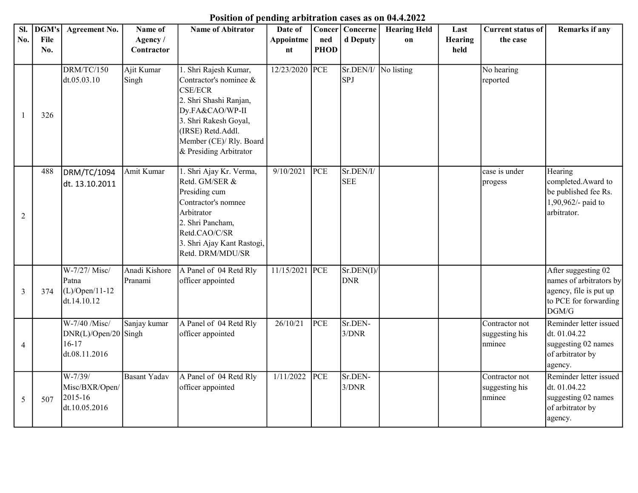## Position of pending arbitration cases as on 04.4.2022

| SI. | DGM's | <b>Agreement No.</b>                                                | Name of                  | <b>Name of Abitrator</b>                                                                                                                                                                                          | Date of        |             | Concer Concerne         | <b>Hearing Held</b> | Last           | <b>Current status of</b>                   | Remarks if any                                                                                             |
|-----|-------|---------------------------------------------------------------------|--------------------------|-------------------------------------------------------------------------------------------------------------------------------------------------------------------------------------------------------------------|----------------|-------------|-------------------------|---------------------|----------------|--------------------------------------------|------------------------------------------------------------------------------------------------------------|
| No. | File  |                                                                     | Agency/                  |                                                                                                                                                                                                                   | Appointme      | ned         | d Deputy                | on                  | <b>Hearing</b> | the case                                   |                                                                                                            |
|     | No.   |                                                                     | Contractor               |                                                                                                                                                                                                                   | nt             | <b>PHOD</b> |                         |                     | held           |                                            |                                                                                                            |
|     | 326   | DRM/TC/150<br>dt.05.03.10                                           | Ajit Kumar<br>Singh      | 1. Shri Rajesh Kumar,<br>Contractor's nominee &<br><b>CSE/ECR</b><br>2. Shri Shashi Ranjan,<br>Dy.FA&CAO/WP-II<br>3. Shri Rakesh Goyal,<br>(IRSE) Retd.Addl.<br>Member (CE)/ Rly. Board<br>& Presiding Arbitrator | 12/23/2020     | PCE         | Sr.DEN/I/<br><b>SPJ</b> | No listing          |                | No hearing<br>reported                     |                                                                                                            |
| 2   | 488   | DRM/TC/1094<br>dt. 13.10.2011                                       | Amit Kumar               | 1. Shri Ajay Kr. Verma,<br>Retd. GM/SER &<br>Presiding cum<br>Contractor's nomnee<br>Arbitrator<br>2. Shri Pancham,<br>Retd.CAO/C/SR<br>3. Shri Ajay Kant Rastogi,<br>Retd. DRM/MDU/SR                            | 9/10/2021      | PCE         | Sr.DEN/I/<br><b>SEE</b> |                     |                | case is under<br>progess                   | Hearing<br>completed.Award to<br>be published fee Rs.<br>1,90,962/- paid to<br>arbitrator.                 |
| 3   | 374   | W-7/27/ Misc/<br>Patna<br>$(L)/Open/11-12$<br>dt.14.10.12           | Anadi Kishore<br>Pranami | A Panel of 04 Retd Rly<br>officer appointed                                                                                                                                                                       | 11/15/2021 PCE |             | Sr.DEN(I)<br><b>DNR</b> |                     |                |                                            | After suggesting 02<br>names of arbitrators by<br>agency, file is put up<br>to PCE for forwarding<br>DGM/G |
| 4   |       | W-7/40 /Misc/<br>$DNR(L)/Open/20$ Singh<br>$16-17$<br>dt.08.11.2016 | Sanjay kumar             | A Panel of 04 Retd Rly<br>officer appointed                                                                                                                                                                       | 26/10/21       | <b>PCE</b>  | Sr.DEN-<br>3/DNR        |                     |                | Contractor not<br>suggesting his<br>nminee | Reminder letter issued<br>dt. 01.04.22<br>suggesting 02 names<br>of arbitrator by<br>agency.               |
| 5   | 507   | W-7/39/<br>Misc/BXR/Open/<br>2015-16<br>dt.10.05.2016               | Basant Yadav             | A Panel of 04 Retd Rly<br>officer appointed                                                                                                                                                                       | 1/11/2022      | <b>PCE</b>  | Sr.DEN-<br>3/DNR        |                     |                | Contractor not<br>suggesting his<br>nminee | Reminder letter issued<br>dt. 01.04.22<br>suggesting 02 names<br>of arbitrator by<br>agency.               |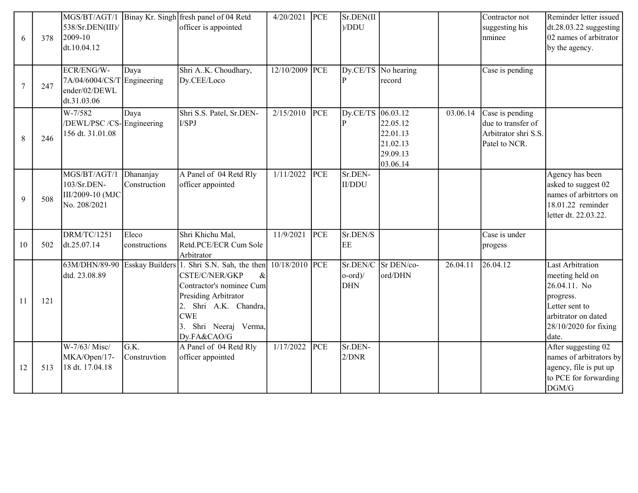|    |     | 538/Sr.DEN(III)/                                                                                  |                           | MGS/BT/AGT/1   Binay Kr. Singh fresh panel of 04 Retd<br>officer is appointed                                                                                                                              | 4/20/2021      | PCE        | Sr.DEN(II<br>)/DDU                                |                                                          |          | Contractor not<br>suggesting his                                               | Reminder letter issued<br>$dt.28.03.22$ suggesting                                                                                                 |
|----|-----|---------------------------------------------------------------------------------------------------|---------------------------|------------------------------------------------------------------------------------------------------------------------------------------------------------------------------------------------------------|----------------|------------|---------------------------------------------------|----------------------------------------------------------|----------|--------------------------------------------------------------------------------|----------------------------------------------------------------------------------------------------------------------------------------------------|
| 6  | 378 | 2009-10<br>dt.10.04.12                                                                            |                           |                                                                                                                                                                                                            |                |            |                                                   |                                                          |          | nminee                                                                         | 02 names of arbitrator<br>by the agency.                                                                                                           |
| 7  | 247 | ECR/ENG/W-<br>$7A/04/6004/CS/T$ Engineering<br>ender/02/DEWL<br>dt.31.03.06                       | Daya                      | Shri AK. Choudhary,<br>Dy.CEE/Loco                                                                                                                                                                         | 12/10/2009 PCE |            | Dy.CE/TS<br>$ {\bf p} $                           | No hearing<br>record                                     |          | Case is pending                                                                |                                                                                                                                                    |
| 8  | 246 | W-7/582<br>/DEWL/PSC /CS-Engineering<br>156 dt. 31.01.08                                          | Daya                      | Shri S.S. Patel, Sr.DEN-<br>I/SPJ                                                                                                                                                                          | 2/15/2010      | PCE        | Dy.CE/TS 06.03.12<br> P                           | 22.05.12<br>22.01.13<br>21.02.13<br>29.09.13<br>03.06.14 | 03.06.14 | Case is pending<br>due to transfer of<br>Arbitrator shri S.S.<br>Patel to NCR. |                                                                                                                                                    |
| 9  | 508 | $\overline{\text{MGS}}/\text{BT}/\text{AGT}/1$<br>103/Sr.DEN-<br>III/2009-10 (MJC<br>No. 208/2021 | Dhananjay<br>Construction | A Panel of 04 Retd Rly<br>officer appointed                                                                                                                                                                | 1/11/2022      | <b>PCE</b> | Sr.DEN-<br>II/DDU                                 |                                                          |          |                                                                                | Agency has been<br>asked to suggest 02<br>names of arbitrtors on<br>18.01.22 reminder<br>letter dt. 22.03.22.                                      |
| 10 | 502 | <b>DRM/TC/1251</b><br>dt.25.07.14                                                                 | Eleco<br>constructions    | Shri Khichu Mal,<br>Retd.PCE/ECR Cum Sole<br>Arbitrator                                                                                                                                                    | 11/9/2021      | PCE        | Sr.DEN/S<br>EE                                    |                                                          |          | Case is under<br>progess                                                       |                                                                                                                                                    |
| 11 | 121 | 63M/DHN/89-90<br>dtd. 23.08.89                                                                    |                           | Esskay Builders 1. Shri S.N. Sah, the then<br>CSTE/C/NER/GKP<br>$\&$<br>Contractor's nominee Cum<br>Presiding Arbitrator<br>Shri A.K. Chandra,<br>2.<br><b>CWE</b><br>3. Shri Neeraj Verma,<br>Dy.FA&CAO/G | 10/18/2010 PCE |            | Sr.DEN/C<br>$ o\text{-}ord\rangle/$<br><b>DHN</b> | Sr DEN/co-<br>ord/DHN                                    | 26.04.11 | 26.04.12                                                                       | <b>Last Arbitration</b><br>meeting held on<br>26.04.11. No<br>progress.<br>Letter sent to<br>arbitrator on dated<br>28/10/2020 for fixing<br>date. |
| 12 | 513 | W-7/63/ Misc/<br>MKA/Open/17-<br>18 dt. 17.04.18                                                  | G.K.<br>Construvtion      | A Panel of 04 Retd Rly<br>officer appointed                                                                                                                                                                | 1/17/2022      | <b>PCE</b> | Sr.DEN-<br>2/DNR                                  |                                                          |          |                                                                                | After suggesting 02<br>names of arbitrators by<br>agency, file is put up<br>to PCE for forwarding<br>DGM/G                                         |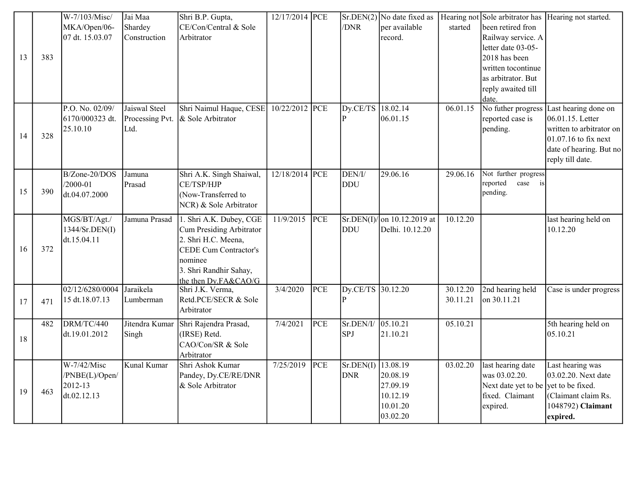|        |     | W-7/103/Misc/   | Jai Maa         | Shri B.P. Gupta,                         | 12/17/2014 PCE |     |                    |                            |          |                        | $Sr.DEN(2)$ No date fixed as   Hearing not Sole arbitrator has   Hearing not started. |
|--------|-----|-----------------|-----------------|------------------------------------------|----------------|-----|--------------------|----------------------------|----------|------------------------|---------------------------------------------------------------------------------------|
|        |     | MKA/Open/06-    | Shardey         | CE/Con/Central & Sole                    |                |     | /DNR               | per available              | started  | been retired fron      |                                                                                       |
|        |     | 07 dt. 15.03.07 | Construction    | Arbitrator                               |                |     |                    | record.                    |          | Railway service. A     |                                                                                       |
|        |     |                 |                 |                                          |                |     |                    |                            |          | letter date 03-05-     |                                                                                       |
| 13     | 383 |                 |                 |                                          |                |     |                    |                            |          | 2018 has been          |                                                                                       |
|        |     |                 |                 |                                          |                |     |                    |                            |          | written tocontinue     |                                                                                       |
|        |     |                 |                 |                                          |                |     |                    |                            |          | as arbitrator. But     |                                                                                       |
|        |     |                 |                 |                                          |                |     |                    |                            |          | reply awaited till     |                                                                                       |
|        |     |                 |                 |                                          |                |     |                    |                            |          | date.                  |                                                                                       |
|        |     | P.O. No. 02/09/ | Jaiswal Steel   | Shri Naimul Haque, CESE                  | 10/22/2012     | PCE | Dy.CE/TS           | 18.02.14                   | 06.01.15 | No futher progress     | Last hearing done on                                                                  |
|        |     | 6170/000323 dt. | Processing Pvt. | & Sole Arbitrator                        |                |     | $\overline{P}$     | 06.01.15                   |          | reported case is       | 06.01.15. Letter                                                                      |
| 14     | 328 | 25.10.10        | Ltd.            |                                          |                |     |                    |                            |          | pending.               | written to arbitrator on                                                              |
|        |     |                 |                 |                                          |                |     |                    |                            |          |                        | $01.07.16$ to fix next                                                                |
|        |     |                 |                 |                                          |                |     |                    |                            |          |                        | date of hearing. But no                                                               |
|        |     |                 |                 |                                          |                |     |                    |                            |          |                        | reply till date.                                                                      |
|        |     | B/Zone-20/DOS   | Jamuna          | Shri A.K. Singh Shaiwal,                 | 12/18/2014 PCE |     | DEN/I/             | 29.06.16                   | 29.06.16 | Not further progress   |                                                                                       |
| 15     | 390 | $/2000 - 01$    | Prasad          | CE/TSP/HJP                               |                |     | <b>DDU</b>         |                            |          | reported<br>case<br>is |                                                                                       |
|        |     | dt.04.07.2000   |                 | (Now-Transferred to                      |                |     |                    |                            |          | pending.               |                                                                                       |
|        |     |                 |                 | NCR) & Sole Arbitrator                   |                |     |                    |                            |          |                        |                                                                                       |
|        |     | MGS/BT/Agt./    | Jamuna Prasad   | 1. Shri A.K. Dubey, CGE                  | 11/9/2015      | PCE |                    | Sr.DEN(I)/on 10.12.2019 at | 10.12.20 |                        | last hearing held on                                                                  |
|        |     | 1344/Sr.DEN(I)  |                 | Cum Presiding Arbitrator                 |                |     | <b>DDU</b>         | Delhi. 10.12.20            |          |                        | 10.12.20                                                                              |
|        |     | dt.15.04.11     |                 | 2. Shri H.C. Meena,                      |                |     |                    |                            |          |                        |                                                                                       |
| 16     | 372 |                 |                 | <b>CEDE Cum Contractor's</b>             |                |     |                    |                            |          |                        |                                                                                       |
|        |     |                 |                 | nominee                                  |                |     |                    |                            |          |                        |                                                                                       |
|        |     |                 |                 | 3. Shri Randhir Sahay,                   |                |     |                    |                            |          |                        |                                                                                       |
|        |     | 02/12/6280/0004 | Jaraikela       | the then Dy.FA&CAO/G<br>Shri J.K. Verma, | 3/4/2020       | PCE | Dy.CE/TS 30.12.20  |                            | 30.12.20 | 2nd hearing held       | Case is under progress                                                                |
| 17     | 471 | 15 dt.18.07.13  | Lumberman       | Retd.PCE/SECR & Sole                     |                |     | P                  |                            | 30.11.21 | on 30.11.21            |                                                                                       |
|        |     |                 |                 | Arbitrator                               |                |     |                    |                            |          |                        |                                                                                       |
|        | 482 | DRM/TC/440      | Jitendra Kumar  | Shri Rajendra Prasad,                    | 7/4/2021       | PCE | Sr.DEN/I/          | 05.10.21                   | 05.10.21 |                        | 5th hearing held on                                                                   |
|        |     | dt.19.01.2012   | Singh           | (IRSE) Retd.                             |                |     | SPJ                | 21.10.21                   |          |                        | 05.10.21                                                                              |
| $18\,$ |     |                 |                 | CAO/Con/SR & Sole                        |                |     |                    |                            |          |                        |                                                                                       |
|        |     |                 |                 | Arbitrator                               |                |     |                    |                            |          |                        |                                                                                       |
|        |     | W-7/42/Misc     | Kunal Kumar     | Shri Ashok Kumar                         | 7/25/2019      | PCE | Sr.DEN(I) 13.08.19 |                            | 03.02.20 | last hearing date      | Last hearing was                                                                      |
|        |     | /PNBE(L)/Open/  |                 | Pandey, Dy.CE/RE/DNR                     |                |     | <b>DNR</b>         | 20.08.19                   |          | was 03.02.20.          | 03.02.20. Next date                                                                   |
|        |     | 2012-13         |                 | & Sole Arbitrator                        |                |     |                    | 27.09.19                   |          | Next date yet to be    | yet to be fixed.                                                                      |
| 19     | 463 | dt.02.12.13     |                 |                                          |                |     |                    | 10.12.19                   |          | fixed. Claimant        | (Claimant claim Rs.                                                                   |
|        |     |                 |                 |                                          |                |     |                    | 10.01.20                   |          | expired.               | 1048792) Claimant                                                                     |
|        |     |                 |                 |                                          |                |     |                    | 03.02.20                   |          |                        | expired.                                                                              |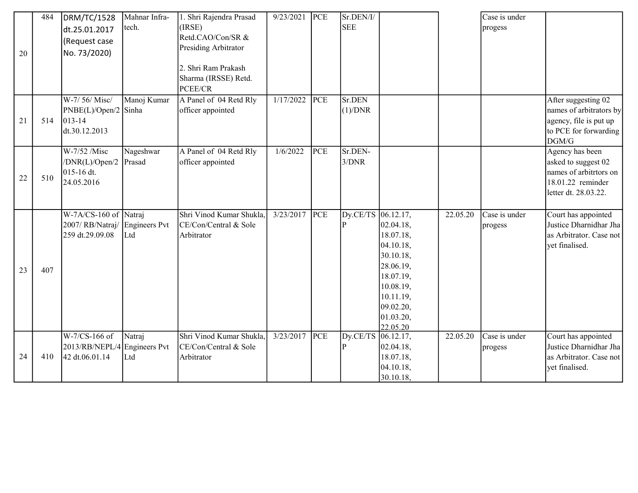|    | 484 | DRM/TC/1528                  | Mahnar Infra- | 1. Shri Rajendra Prasad  | 9/23/2021 | PCE        | Sr.DEN/I/      |                        |          | Case is under |                          |
|----|-----|------------------------------|---------------|--------------------------|-----------|------------|----------------|------------------------|----------|---------------|--------------------------|
|    |     | dt.25.01.2017                | tech.         | (IRSE)                   |           |            | <b>SEE</b>     |                        |          | progess       |                          |
|    |     | (Request case                |               | Retd.CAO/Con/SR &        |           |            |                |                        |          |               |                          |
| 20 |     | No. 73/2020)                 |               | Presiding Arbitrator     |           |            |                |                        |          |               |                          |
|    |     |                              |               | 2. Shri Ram Prakash      |           |            |                |                        |          |               |                          |
|    |     |                              |               | Sharma (IRSSE) Retd.     |           |            |                |                        |          |               |                          |
|    |     |                              |               | PCEE/CR                  |           |            |                |                        |          |               |                          |
|    |     | W-7/56/Misc/                 | Manoj Kumar   | A Panel of 04 Retd Rly   | 1/17/2022 | PCE        | Sr.DEN         |                        |          |               | After suggesting 02      |
|    |     | PNBE(L)/Open/2 Sinha         |               | officer appointed        |           |            | (1)/DNR        |                        |          |               | names of arbitrators by  |
| 21 | 514 | $013 - 14$                   |               |                          |           |            |                |                        |          |               | agency, file is put up   |
|    |     | dt.30.12.2013                |               |                          |           |            |                |                        |          |               | to PCE for forwarding    |
|    |     | W-7/52 /Misc                 | Nageshwar     | A Panel of 04 Retd Rly   | 1/6/2022  | <b>PCE</b> | Sr.DEN-        |                        |          |               | DGM/G<br>Agency has been |
|    |     | /DNR(L)/Open/2               | Prasad        | officer appointed        |           |            | 3/DNR          |                        |          |               | asked to suggest 02      |
|    |     | $015 - 16$ dt.               |               |                          |           |            |                |                        |          |               | names of arbitrtors on   |
| 22 | 510 | 24.05.2016                   |               |                          |           |            |                |                        |          |               | 18.01.22 reminder        |
|    |     |                              |               |                          |           |            |                |                        |          |               | letter dt. 28.03.22.     |
|    |     |                              |               |                          |           |            |                |                        |          |               |                          |
|    |     | W-7A/CS-160 of               | Natraj        | Shri Vinod Kumar Shukla, | 3/23/2017 | PCE        | Dy.CE/TS       | 06.12.17,              | 22.05.20 | Case is under | Court has appointed      |
|    |     | 2007/RB/Natraj/              | Engineers Pvt | CE/Con/Central & Sole    |           |            | $\overline{P}$ | 02.04.18,              |          | progess       | Justice Dharnidhar Jha   |
|    |     | 259 dt.29.09.08              | Ltd           | Arbitrator               |           |            |                | 18.07.18,              |          |               | as Arbitrator. Case not  |
|    |     |                              |               |                          |           |            |                | 04.10.18,              |          |               | yet finalised.           |
|    |     |                              |               |                          |           |            |                | 30.10.18,              |          |               |                          |
| 23 | 407 |                              |               |                          |           |            |                | 28.06.19,<br>18.07.19, |          |               |                          |
|    |     |                              |               |                          |           |            |                | 10.08.19,              |          |               |                          |
|    |     |                              |               |                          |           |            |                | 10.11.19,              |          |               |                          |
|    |     |                              |               |                          |           |            |                | 09.02.20,              |          |               |                          |
|    |     |                              |               |                          |           |            |                | 01.03.20,              |          |               |                          |
|    |     |                              |               |                          |           |            |                | 22.05.20               |          |               |                          |
|    |     | W-7/CS-166 of                | Natraj        | Shri Vinod Kumar Shukla, | 3/23/2017 | PCE        | Dy.CE/TS       | 06.12.17,              | 22.05.20 | Case is under | Court has appointed      |
|    |     | 2013/RB/NEPL/4 Engineers Pvt |               | CE/Con/Central & Sole    |           |            | $\overline{P}$ | 02.04.18,              |          | progess       | Justice Dharnidhar Jha   |
| 24 | 410 | 42 dt.06.01.14               | Ltd           | Arbitrator               |           |            |                | 18.07.18,              |          |               | as Arbitrator. Case not  |
|    |     |                              |               |                          |           |            |                | 04.10.18,              |          |               | yet finalised.           |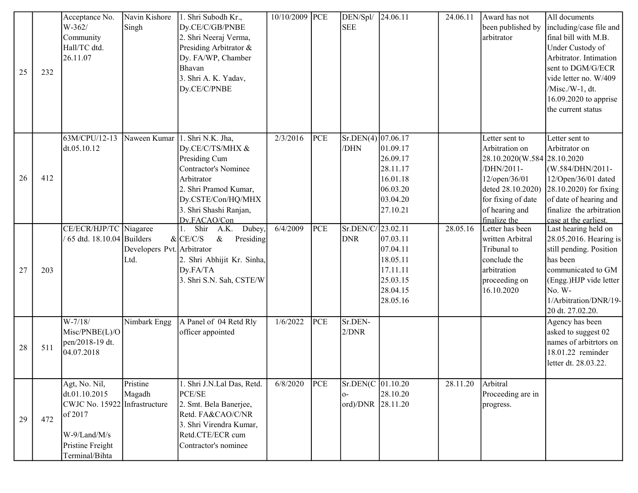| 25 | 232 | Acceptance No.<br>$W-362/$<br>Community<br>Hall/TC dtd.<br>26.11.07                                                              | Navin Kishore<br>Singh             | 1. Shri Subodh Kr.,<br>Dy.CE/C/GB/PNBE<br>2. Shri Neeraj Verma,<br>Presiding Arbitrator &<br>Dy. FA/WP, Chamber<br>Bhavan<br>3. Shri A. K. Yadav,<br>Dy.CE/C/PNBE                     | 10/10/2009 PCE |            | DEN/Spl/<br><b>SEE</b>                              | 24.06.11                                                                         | 24.06.11 | Award has not<br>been published by<br>arbitrator                                                                                                                            | All documents<br>including/case file and $\vert$<br>final bill with M.B.<br>Under Custody of<br>Arbitrator. Intimation<br>sent to DGM/G/ECR<br>vide letter no. W/409<br>/Misc./W-1, dt.<br>16.09.2020 to apprise<br>the current status |
|----|-----|----------------------------------------------------------------------------------------------------------------------------------|------------------------------------|---------------------------------------------------------------------------------------------------------------------------------------------------------------------------------------|----------------|------------|-----------------------------------------------------|----------------------------------------------------------------------------------|----------|-----------------------------------------------------------------------------------------------------------------------------------------------------------------------------|----------------------------------------------------------------------------------------------------------------------------------------------------------------------------------------------------------------------------------------|
| 26 | 412 | 63M/CPU/12-13<br>dt.05.10.12                                                                                                     | Naween Kumar                       | 1. Shri N.K. Jha,<br>Dy.CE/C/TS/MHX &<br>Presiding Cum<br>Contractor's Nominee<br>Arbitrator<br>2. Shri Pramod Kumar,<br>Dy.CSTE/Con/HQ/MHX<br>3. Shri Shashi Ranjan,<br>Dy.FACAO/Con | 2/3/2016       | PCE        | $Sr.DEN(4)$ 07.06.17<br>/DHN                        | 01.09.17<br>26.09.17<br>28.11.17<br>16.01.18<br>06.03.20<br>03.04.20<br>27.10.21 |          | Letter sent to<br>Arbitration on<br>28.10.2020(W.584 28.10.2020<br>/DHN/2011-<br>12/open/36/01<br>deted 28.10.2020)<br>for fixing of date<br>of hearing and<br>finalize the | Letter sent to<br>Arbitrator on<br>(W.584/DHN/2011-<br>12/Open/36/01 dated<br>28.10.2020) for fixing<br>of date of hearing and<br>finalize the arbitration<br>case at the earliest.                                                    |
| 27 | 203 | CE/ECR/HJP/TC Niagaree<br>65 dtd. 18.10.04 Builders                                                                              | Developers Pvt. Arbitrator<br>Ltd. | Shir<br>A.K. Dubey,<br>$&$ CE/C/S<br>$\&$<br>Presiding<br>2. Shri Abhijit Kr. Sinha,<br>Dy.FA/TA<br>3. Shri S.N. Sah, CSTE/W                                                          | 6/4/2009       | <b>PCE</b> | Sr.DEN/C/23.02.11<br><b>DNR</b>                     | 07.03.11<br>07.04.11<br>18.05.11<br>17.11.11<br>25.03.15<br>28.04.15<br>28.05.16 | 28.05.16 | Letter has been<br>written Arbitral<br>Tribunal to<br>conclude the<br>arbitration<br>proceeding on<br>16.10.2020                                                            | Last hearing held on<br>28.05.2016. Hearing is<br>still pending. Position<br>has been<br>communicated to GM<br>(Engg.)HJP vide letter<br>No. W-<br>1/Arbitration/DNR/19-<br>20 dt. 27.02.20.                                           |
| 28 | 511 | $W-7/18/$<br>Misc/PNBE(L)/O<br>pen/2018-19 dt.<br>04.07.2018                                                                     | Nimbark Engg                       | A Panel of 04 Retd Rly<br>officer appointed                                                                                                                                           | 1/6/2022       | PCE        | Sr.DEN-<br>2/DNR                                    |                                                                                  |          |                                                                                                                                                                             | Agency has been<br>asked to suggest 02<br>names of arbitrtors on<br>18.01.22 reminder<br>letter dt. 28.03.22.                                                                                                                          |
| 29 | 472 | Agt, No. Nil,<br>dt.01.10.2015<br>CWJC No. 15922 Infrastructure<br>of 2017<br>W-9/Land/M/s<br>Pristine Freight<br>Terminal/Bihta | Pristine<br>Magadh                 | 1. Shri J.N.Lal Das, Retd.<br>PCE/SE<br>2. Smt. Bela Banerjee,<br>Retd. FA&CAO/C/NR<br>3. Shri Virendra Kumar,<br>Retd.CTE/ECR cum<br>Contractor's nominee                            | 6/8/2020       | PCE        | Sr.DEN(C 01.10.20<br>$\circ$ -<br>ord)/DNR 28.11.20 | 28.10.20                                                                         | 28.11.20 | Arbitral<br>Proceeding are in<br>progress.                                                                                                                                  |                                                                                                                                                                                                                                        |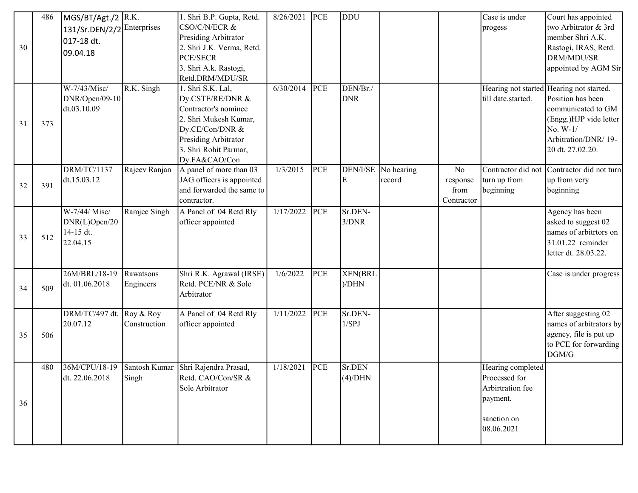|    | 486 | MGS/BT/Agt./2 R.K. |               | 1. Shri B.P. Gupta, Retd.           | 8/26/2021 | PCE        | DDU        |                     |                | Case is under      | Court has appointed                      |
|----|-----|--------------------|---------------|-------------------------------------|-----------|------------|------------|---------------------|----------------|--------------------|------------------------------------------|
|    |     | 131/Sr.DEN/2/2     | Enterprises   | CSO/C/N/ECR &                       |           |            |            |                     |                | progess            | two Arbitrator & 3rd                     |
|    |     | 017-18 dt.         |               | Presiding Arbitrator                |           |            |            |                     |                |                    | member Shri A.K.                         |
| 30 |     | 09.04.18           |               | 2. Shri J.K. Verma, Retd.           |           |            |            |                     |                |                    | Rastogi, IRAS, Retd.                     |
|    |     |                    |               | <b>PCE/SECR</b>                     |           |            |            |                     |                |                    | DRM/MDU/SR                               |
|    |     |                    |               | 3. Shri A.k. Rastogi,               |           |            |            |                     |                |                    | appointed by AGM Sir                     |
|    |     |                    |               | Retd.DRM/MDU/SR                     |           |            |            |                     |                |                    |                                          |
|    |     | W-7/43/Misc/       | R.K. Singh    | 1. Shri S.K. Lal,                   | 6/30/2014 | PCE        | DEN/Br./   |                     |                |                    | Hearing not started Hearing not started. |
|    |     | DNR/Open/09-10     |               | Dy.CSTE/RE/DNR &                    |           |            | <b>DNR</b> |                     |                | till date.started. | Position has been                        |
|    |     | dt.03.10.09        |               | Contractor's nominee                |           |            |            |                     |                |                    | communicated to GM                       |
| 31 | 373 |                    |               | 2. Shri Mukesh Kumar,               |           |            |            |                     |                |                    | (Engg.)HJP vide letter                   |
|    |     |                    |               | Dy.CE/Con/DNR &                     |           |            |            |                     |                |                    | No. W-1/                                 |
|    |     |                    |               | Presiding Arbitrator                |           |            |            |                     |                |                    | Arbitration/DNR/19-                      |
|    |     |                    |               | 3. Shri Rohit Parmar,               |           |            |            |                     |                |                    | 20 dt. 27.02.20.                         |
|    |     |                    |               | Dy.FA&CAO/Con                       |           |            |            |                     |                |                    |                                          |
|    |     | <b>DRM/TC/1137</b> | Rajeev Ranjan | A panel of more than 03             | 1/3/2015  | <b>PCE</b> |            | DEN/I/SE No hearing | N <sub>o</sub> | Contractor did not | Contractor did not turn                  |
| 32 | 391 | dt.15.03.12        |               | JAG officers is appointed           |           |            | E          | record              | response       | turn up from       | up from very                             |
|    |     |                    |               | and forwarded the same to           |           |            |            |                     | from           | beginning          | beginning                                |
|    |     |                    |               | contractor.                         |           |            |            |                     | Contractor     |                    |                                          |
|    |     | W-7/44/ Misc/      | Ramjee Singh  | A Panel of 04 Retd Rly              | 1/17/2022 | <b>PCE</b> | Sr.DEN-    |                     |                |                    | Agency has been                          |
|    |     | DNR(L)Open/20      |               | officer appointed                   |           |            | 3/DNR      |                     |                |                    | asked to suggest 02                      |
| 33 | 512 | 14-15 dt.          |               |                                     |           |            |            |                     |                |                    | names of arbitrtors on                   |
|    |     | 22.04.15           |               |                                     |           |            |            |                     |                |                    | 31.01.22 reminder                        |
|    |     |                    |               |                                     |           |            |            |                     |                |                    | letter dt. 28.03.22.                     |
|    |     |                    |               |                                     |           |            |            |                     |                |                    |                                          |
|    |     | 26M/BRL/18-19      | Rawatsons     | Shri R.K. Agrawal (IRSE)            | 1/6/2022  | <b>PCE</b> | XEN(BRL    |                     |                |                    | Case is under progress                   |
| 34 | 509 | dt. 01.06.2018     | Engineers     | Retd. PCE/NR & Sole                 |           |            | )/DHN      |                     |                |                    |                                          |
|    |     |                    |               | Arbitrator                          |           |            |            |                     |                |                    |                                          |
|    |     | DRM/TC/497 dt.     | Roy & Roy     | A Panel of 04 Retd Rly              | 1/11/2022 | <b>PCE</b> | Sr.DEN-    |                     |                |                    | After suggesting 02                      |
|    |     | 20.07.12           | Construction  | officer appointed                   |           |            | 1/SPJ      |                     |                |                    | names of arbitrators by                  |
| 35 | 506 |                    |               |                                     |           |            |            |                     |                |                    | agency, file is put up                   |
|    |     |                    |               |                                     |           |            |            |                     |                |                    | to PCE for forwarding                    |
|    |     |                    |               |                                     |           |            |            |                     |                |                    | DGM/G                                    |
|    | 480 | 36M/CPU/18-19      |               | Santosh Kumar Shri Rajendra Prasad, | 1/18/2021 | PCE        | Sr.DEN     |                     |                | Hearing completed  |                                          |
|    |     | dt. 22.06.2018     | Singh         | Retd. CAO/Con/SR &                  |           |            | (4)/DHN    |                     |                | Processed for      |                                          |
|    |     |                    |               | Sole Arbitrator                     |           |            |            |                     |                | Arbirtration fee   |                                          |
|    |     |                    |               |                                     |           |            |            |                     |                |                    |                                          |
| 36 |     |                    |               |                                     |           |            |            |                     |                | payment.           |                                          |
|    |     |                    |               |                                     |           |            |            |                     |                | sanction on        |                                          |
|    |     |                    |               |                                     |           |            |            |                     |                | 08.06.2021         |                                          |
|    |     |                    |               |                                     |           |            |            |                     |                |                    |                                          |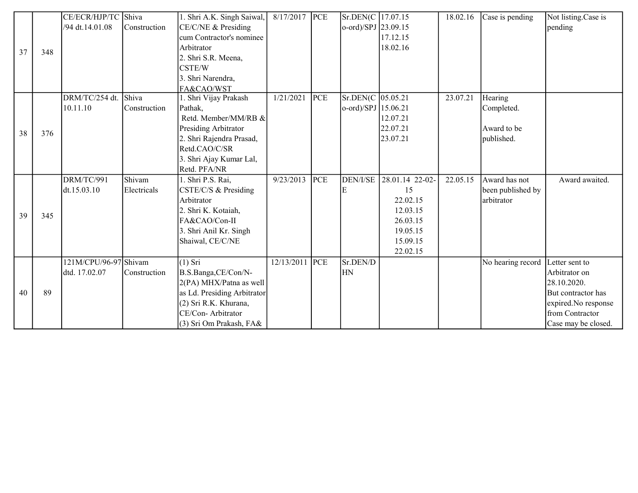|    |     | CE/ECR/HJP/TC Shiva   |              | 1. Shri A.K. Singh Saiwal,  | 8/17/2017      | <b>PCE</b> | Sr.DEN(C   17.07.15         |                 | 18.02.16 | Case is pending   | Not listing.Case is |
|----|-----|-----------------------|--------------|-----------------------------|----------------|------------|-----------------------------|-----------------|----------|-------------------|---------------------|
|    |     | /94 dt.14.01.08       | Construction | CE/C/NE & Presiding         |                |            | $\alpha$ -ord)/SPJ 23.09.15 |                 |          |                   | pending             |
|    |     |                       |              | cum Contractor's nominee    |                |            |                             | 17.12.15        |          |                   |                     |
| 37 | 348 |                       |              | Arbitrator                  |                |            |                             | 18.02.16        |          |                   |                     |
|    |     |                       |              | 2. Shri S.R. Meena,         |                |            |                             |                 |          |                   |                     |
|    |     |                       |              | CSTE/W                      |                |            |                             |                 |          |                   |                     |
|    |     |                       |              | 3. Shri Narendra,           |                |            |                             |                 |          |                   |                     |
|    |     |                       |              | FA&CAO/WST                  |                |            |                             |                 |          |                   |                     |
|    |     | DRM/TC/254 dt.        | Shiva        | 1. Shri Vijay Prakash       | 1/21/2021      | PCE        | Sr.DEN(C   05.05.21         |                 | 23.07.21 | Hearing           |                     |
|    |     | 10.11.10              | Construction | Pathak,                     |                |            | $o$ -ord)/SPJ 15.06.21      |                 |          | Completed.        |                     |
|    |     |                       |              | Retd. Member/MM/RB &        |                |            |                             | 12.07.21        |          |                   |                     |
| 38 | 376 |                       |              | Presiding Arbitrator        |                |            |                             | 22.07.21        |          | Award to be       |                     |
|    |     |                       |              | 2. Shri Rajendra Prasad,    |                |            |                             | 23.07.21        |          | published.        |                     |
|    |     |                       |              | Retd.CAO/C/SR               |                |            |                             |                 |          |                   |                     |
|    |     |                       |              | 3. Shri Ajay Kumar Lal,     |                |            |                             |                 |          |                   |                     |
|    |     |                       |              | Retd. PFA/NR                |                |            |                             |                 |          |                   |                     |
|    |     | DRM/TC/991            | Shivam       | 1. Shri P.S. Rai,           | 9/23/2013      | PCE        | DEN/I/SE                    | 28.01.14 22-02- | 22.05.15 | Award has not     | Award awaited.      |
|    |     | dt.15.03.10           | Electricals  | CSTE/C/S & Presiding        |                |            | E                           | 15              |          | been published by |                     |
|    |     |                       |              | Arbitrator                  |                |            |                             | 22.02.15        |          | arbitrator        |                     |
| 39 | 345 |                       |              | 2. Shri K. Kotaiah,         |                |            |                             | 12.03.15        |          |                   |                     |
|    |     |                       |              | FA&CAO/Con-II               |                |            |                             | 26.03.15        |          |                   |                     |
|    |     |                       |              | 3. Shri Anil Kr. Singh      |                |            |                             | 19.05.15        |          |                   |                     |
|    |     |                       |              | Shaiwal, CE/C/NE            |                |            |                             | 15.09.15        |          |                   |                     |
|    |     |                       |              |                             |                |            |                             | 22.02.15        |          |                   |                     |
|    |     | 121M/CPU/96-97 Shivam |              | $\sqrt{(1) Sri}$            | 12/13/2011 PCE |            | Sr.DEN/D                    |                 |          | No hearing record | Letter sent to      |
|    |     | dtd. 17.02.07         | Construction | B.S.Banga,CE/Con/N-         |                |            | HN                          |                 |          |                   | Arbitrator on       |
|    |     |                       |              | $2(PA)$ MHX/Patna as well   |                |            |                             |                 |          |                   | 28.10.2020.         |
| 40 | 89  |                       |              | as Ld. Presiding Arbitrator |                |            |                             |                 |          |                   | But contractor has  |
|    |     |                       |              | (2) Sri R.K. Khurana,       |                |            |                             |                 |          |                   | expired.No response |
|    |     |                       |              | CE/Con-Arbitrator           |                |            |                             |                 |          |                   | from Contractor     |
|    |     |                       |              | (3) Sri Om Prakash, FA&     |                |            |                             |                 |          |                   | Case may be closed. |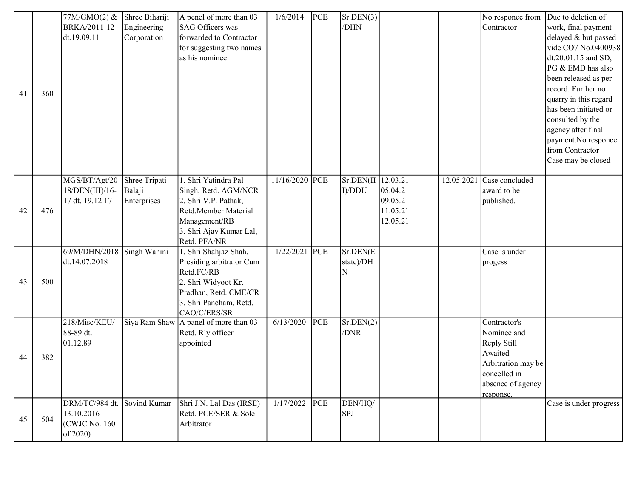| Engineering<br><b>SAG Officers was</b><br>Contractor<br>BRKA/2011-12<br>/DHN<br>work, final payment<br>forwarded to Contractor<br>delayed & but passed<br>dt.19.09.11<br>Corporation<br>for suggesting two names<br>as his nominee<br>dt.20.01.15 and SD,<br>PG & EMD has also<br>been released as per<br>record. Further no<br>41<br>360<br>quarry in this regard<br>has been initiated or<br>consulted by the<br>agency after final<br>payment.No responce<br>from Contractor<br>Case may be closed<br>MGS/BT/Agt/20<br>1. Shri Yatindra Pal<br>11/16/2020 PCE<br>Sr.DEN(II 12.03.21<br>Shree Tripati<br>$12.05.2021$ Case concluded<br>Balaji<br>18/DEN(III)/16-<br>Singh, Retd. AGM/NCR<br>I)/DDU<br>05.04.21<br>award to be<br>Enterprises<br>17 dt. 19.12.17<br>2. Shri V.P. Pathak,<br>09.05.21<br>published.<br>42<br>476<br>Retd.Member Material<br>11.05.21<br>Management/RB<br>12.05.21<br>3. Shri Ajay Kumar Lal,<br>Retd. PFA/NR<br>69/M/DHN/2018<br>1. Shri Shahjaz Shah,<br>11/22/2021<br>PCE<br>Sr.DEN(E<br>Singh Wahini<br>Case is under<br>dt.14.07.2018<br>Presiding arbitrator Cum<br>state)/DH<br>progess<br>Retd.FC/RB<br>N<br>43<br>500<br>2. Shri Widyoot Kr.<br>Pradhan, Retd. CME/CR<br>3. Shri Pancham, Retd.<br>CAO/C/ERS/SR<br>218/Misc/KEU/<br>A panel of more than 03<br>6/13/2020<br>PCE<br>Sr.DEN(2)<br>Siya Ram Shaw<br>Contractor's<br>88-89 dt.<br>Retd. Rly officer<br>/DNR<br>Nominee and |  | 77M/GMO(2) & | Shree Bihariji | A penel of more than 03 | 1/6/2014 | PCE | Sr.DEN(3) |  | No responce from | Due to deletion of  |
|---------------------------------------------------------------------------------------------------------------------------------------------------------------------------------------------------------------------------------------------------------------------------------------------------------------------------------------------------------------------------------------------------------------------------------------------------------------------------------------------------------------------------------------------------------------------------------------------------------------------------------------------------------------------------------------------------------------------------------------------------------------------------------------------------------------------------------------------------------------------------------------------------------------------------------------------------------------------------------------------------------------------------------------------------------------------------------------------------------------------------------------------------------------------------------------------------------------------------------------------------------------------------------------------------------------------------------------------------------------------------------------------------------------------------------|--|--------------|----------------|-------------------------|----------|-----|-----------|--|------------------|---------------------|
|                                                                                                                                                                                                                                                                                                                                                                                                                                                                                                                                                                                                                                                                                                                                                                                                                                                                                                                                                                                                                                                                                                                                                                                                                                                                                                                                                                                                                                 |  |              |                |                         |          |     |           |  |                  |                     |
|                                                                                                                                                                                                                                                                                                                                                                                                                                                                                                                                                                                                                                                                                                                                                                                                                                                                                                                                                                                                                                                                                                                                                                                                                                                                                                                                                                                                                                 |  |              |                |                         |          |     |           |  |                  |                     |
|                                                                                                                                                                                                                                                                                                                                                                                                                                                                                                                                                                                                                                                                                                                                                                                                                                                                                                                                                                                                                                                                                                                                                                                                                                                                                                                                                                                                                                 |  |              |                |                         |          |     |           |  |                  | vide CO7 No.0400938 |
|                                                                                                                                                                                                                                                                                                                                                                                                                                                                                                                                                                                                                                                                                                                                                                                                                                                                                                                                                                                                                                                                                                                                                                                                                                                                                                                                                                                                                                 |  |              |                |                         |          |     |           |  |                  |                     |
|                                                                                                                                                                                                                                                                                                                                                                                                                                                                                                                                                                                                                                                                                                                                                                                                                                                                                                                                                                                                                                                                                                                                                                                                                                                                                                                                                                                                                                 |  |              |                |                         |          |     |           |  |                  |                     |
|                                                                                                                                                                                                                                                                                                                                                                                                                                                                                                                                                                                                                                                                                                                                                                                                                                                                                                                                                                                                                                                                                                                                                                                                                                                                                                                                                                                                                                 |  |              |                |                         |          |     |           |  |                  |                     |
|                                                                                                                                                                                                                                                                                                                                                                                                                                                                                                                                                                                                                                                                                                                                                                                                                                                                                                                                                                                                                                                                                                                                                                                                                                                                                                                                                                                                                                 |  |              |                |                         |          |     |           |  |                  |                     |
|                                                                                                                                                                                                                                                                                                                                                                                                                                                                                                                                                                                                                                                                                                                                                                                                                                                                                                                                                                                                                                                                                                                                                                                                                                                                                                                                                                                                                                 |  |              |                |                         |          |     |           |  |                  |                     |
|                                                                                                                                                                                                                                                                                                                                                                                                                                                                                                                                                                                                                                                                                                                                                                                                                                                                                                                                                                                                                                                                                                                                                                                                                                                                                                                                                                                                                                 |  |              |                |                         |          |     |           |  |                  |                     |
|                                                                                                                                                                                                                                                                                                                                                                                                                                                                                                                                                                                                                                                                                                                                                                                                                                                                                                                                                                                                                                                                                                                                                                                                                                                                                                                                                                                                                                 |  |              |                |                         |          |     |           |  |                  |                     |
|                                                                                                                                                                                                                                                                                                                                                                                                                                                                                                                                                                                                                                                                                                                                                                                                                                                                                                                                                                                                                                                                                                                                                                                                                                                                                                                                                                                                                                 |  |              |                |                         |          |     |           |  |                  |                     |
|                                                                                                                                                                                                                                                                                                                                                                                                                                                                                                                                                                                                                                                                                                                                                                                                                                                                                                                                                                                                                                                                                                                                                                                                                                                                                                                                                                                                                                 |  |              |                |                         |          |     |           |  |                  |                     |
|                                                                                                                                                                                                                                                                                                                                                                                                                                                                                                                                                                                                                                                                                                                                                                                                                                                                                                                                                                                                                                                                                                                                                                                                                                                                                                                                                                                                                                 |  |              |                |                         |          |     |           |  |                  |                     |
|                                                                                                                                                                                                                                                                                                                                                                                                                                                                                                                                                                                                                                                                                                                                                                                                                                                                                                                                                                                                                                                                                                                                                                                                                                                                                                                                                                                                                                 |  |              |                |                         |          |     |           |  |                  |                     |
|                                                                                                                                                                                                                                                                                                                                                                                                                                                                                                                                                                                                                                                                                                                                                                                                                                                                                                                                                                                                                                                                                                                                                                                                                                                                                                                                                                                                                                 |  |              |                |                         |          |     |           |  |                  |                     |
|                                                                                                                                                                                                                                                                                                                                                                                                                                                                                                                                                                                                                                                                                                                                                                                                                                                                                                                                                                                                                                                                                                                                                                                                                                                                                                                                                                                                                                 |  |              |                |                         |          |     |           |  |                  |                     |
|                                                                                                                                                                                                                                                                                                                                                                                                                                                                                                                                                                                                                                                                                                                                                                                                                                                                                                                                                                                                                                                                                                                                                                                                                                                                                                                                                                                                                                 |  |              |                |                         |          |     |           |  |                  |                     |
|                                                                                                                                                                                                                                                                                                                                                                                                                                                                                                                                                                                                                                                                                                                                                                                                                                                                                                                                                                                                                                                                                                                                                                                                                                                                                                                                                                                                                                 |  |              |                |                         |          |     |           |  |                  |                     |
|                                                                                                                                                                                                                                                                                                                                                                                                                                                                                                                                                                                                                                                                                                                                                                                                                                                                                                                                                                                                                                                                                                                                                                                                                                                                                                                                                                                                                                 |  |              |                |                         |          |     |           |  |                  |                     |
|                                                                                                                                                                                                                                                                                                                                                                                                                                                                                                                                                                                                                                                                                                                                                                                                                                                                                                                                                                                                                                                                                                                                                                                                                                                                                                                                                                                                                                 |  |              |                |                         |          |     |           |  |                  |                     |
|                                                                                                                                                                                                                                                                                                                                                                                                                                                                                                                                                                                                                                                                                                                                                                                                                                                                                                                                                                                                                                                                                                                                                                                                                                                                                                                                                                                                                                 |  |              |                |                         |          |     |           |  |                  |                     |
|                                                                                                                                                                                                                                                                                                                                                                                                                                                                                                                                                                                                                                                                                                                                                                                                                                                                                                                                                                                                                                                                                                                                                                                                                                                                                                                                                                                                                                 |  |              |                |                         |          |     |           |  |                  |                     |
|                                                                                                                                                                                                                                                                                                                                                                                                                                                                                                                                                                                                                                                                                                                                                                                                                                                                                                                                                                                                                                                                                                                                                                                                                                                                                                                                                                                                                                 |  |              |                |                         |          |     |           |  |                  |                     |
|                                                                                                                                                                                                                                                                                                                                                                                                                                                                                                                                                                                                                                                                                                                                                                                                                                                                                                                                                                                                                                                                                                                                                                                                                                                                                                                                                                                                                                 |  |              |                |                         |          |     |           |  |                  |                     |
|                                                                                                                                                                                                                                                                                                                                                                                                                                                                                                                                                                                                                                                                                                                                                                                                                                                                                                                                                                                                                                                                                                                                                                                                                                                                                                                                                                                                                                 |  |              |                |                         |          |     |           |  |                  |                     |
|                                                                                                                                                                                                                                                                                                                                                                                                                                                                                                                                                                                                                                                                                                                                                                                                                                                                                                                                                                                                                                                                                                                                                                                                                                                                                                                                                                                                                                 |  |              |                |                         |          |     |           |  |                  |                     |
|                                                                                                                                                                                                                                                                                                                                                                                                                                                                                                                                                                                                                                                                                                                                                                                                                                                                                                                                                                                                                                                                                                                                                                                                                                                                                                                                                                                                                                 |  |              |                |                         |          |     |           |  |                  |                     |
|                                                                                                                                                                                                                                                                                                                                                                                                                                                                                                                                                                                                                                                                                                                                                                                                                                                                                                                                                                                                                                                                                                                                                                                                                                                                                                                                                                                                                                 |  |              |                |                         |          |     |           |  |                  |                     |
|                                                                                                                                                                                                                                                                                                                                                                                                                                                                                                                                                                                                                                                                                                                                                                                                                                                                                                                                                                                                                                                                                                                                                                                                                                                                                                                                                                                                                                 |  |              |                |                         |          |     |           |  |                  |                     |
|                                                                                                                                                                                                                                                                                                                                                                                                                                                                                                                                                                                                                                                                                                                                                                                                                                                                                                                                                                                                                                                                                                                                                                                                                                                                                                                                                                                                                                 |  |              |                |                         |          |     |           |  |                  |                     |
|                                                                                                                                                                                                                                                                                                                                                                                                                                                                                                                                                                                                                                                                                                                                                                                                                                                                                                                                                                                                                                                                                                                                                                                                                                                                                                                                                                                                                                 |  |              |                |                         |          |     |           |  |                  |                     |
| 01.12.89<br>appointed<br>Reply Still                                                                                                                                                                                                                                                                                                                                                                                                                                                                                                                                                                                                                                                                                                                                                                                                                                                                                                                                                                                                                                                                                                                                                                                                                                                                                                                                                                                            |  |              |                |                         |          |     |           |  |                  |                     |
| Awaited<br>44<br>382                                                                                                                                                                                                                                                                                                                                                                                                                                                                                                                                                                                                                                                                                                                                                                                                                                                                                                                                                                                                                                                                                                                                                                                                                                                                                                                                                                                                            |  |              |                |                         |          |     |           |  |                  |                     |
| Arbitration may be                                                                                                                                                                                                                                                                                                                                                                                                                                                                                                                                                                                                                                                                                                                                                                                                                                                                                                                                                                                                                                                                                                                                                                                                                                                                                                                                                                                                              |  |              |                |                         |          |     |           |  |                  |                     |
| concelled in                                                                                                                                                                                                                                                                                                                                                                                                                                                                                                                                                                                                                                                                                                                                                                                                                                                                                                                                                                                                                                                                                                                                                                                                                                                                                                                                                                                                                    |  |              |                |                         |          |     |           |  |                  |                     |
| absence of agency                                                                                                                                                                                                                                                                                                                                                                                                                                                                                                                                                                                                                                                                                                                                                                                                                                                                                                                                                                                                                                                                                                                                                                                                                                                                                                                                                                                                               |  |              |                |                         |          |     |           |  |                  |                     |
| response.<br>DEN/HQ/<br>1/17/2022<br>PCE<br>DRM/TC/984 dt.<br>Sovind Kumar<br>Shri J.N. Lal Das (IRSE)<br>Case is under progress                                                                                                                                                                                                                                                                                                                                                                                                                                                                                                                                                                                                                                                                                                                                                                                                                                                                                                                                                                                                                                                                                                                                                                                                                                                                                                |  |              |                |                         |          |     |           |  |                  |                     |
| 13.10.2016<br>Retd. PCE/SER & Sole<br><b>SPJ</b>                                                                                                                                                                                                                                                                                                                                                                                                                                                                                                                                                                                                                                                                                                                                                                                                                                                                                                                                                                                                                                                                                                                                                                                                                                                                                                                                                                                |  |              |                |                         |          |     |           |  |                  |                     |
| 45<br>504<br>(CWJC No. 160)<br>Arbitrator                                                                                                                                                                                                                                                                                                                                                                                                                                                                                                                                                                                                                                                                                                                                                                                                                                                                                                                                                                                                                                                                                                                                                                                                                                                                                                                                                                                       |  |              |                |                         |          |     |           |  |                  |                     |
| of 2020)                                                                                                                                                                                                                                                                                                                                                                                                                                                                                                                                                                                                                                                                                                                                                                                                                                                                                                                                                                                                                                                                                                                                                                                                                                                                                                                                                                                                                        |  |              |                |                         |          |     |           |  |                  |                     |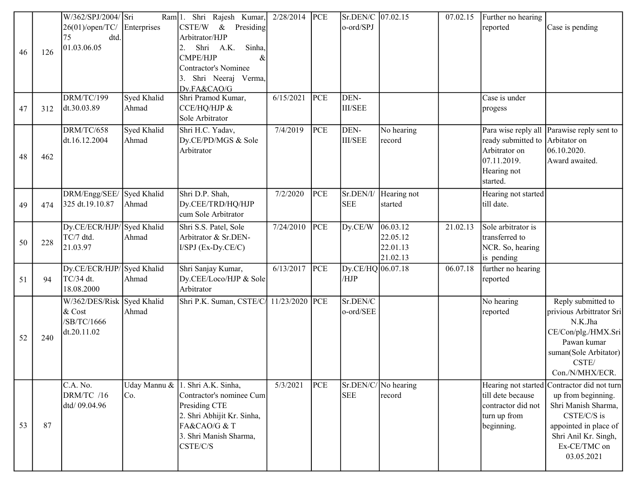|    |     | W/362/SPJ/2004/ Sri                    |              | Ram 1. Shri Rajesh Kumar,               | 2/28/2014 | PCE | Sr.DEN/C 07.02.15         |                      | 07.02.15 | Further no hearing              |                                            |
|----|-----|----------------------------------------|--------------|-----------------------------------------|-----------|-----|---------------------------|----------------------|----------|---------------------------------|--------------------------------------------|
|    |     | 26(01)/open/TC/                        | Enterprises  | $&$ Presiding<br>CSTE/W                 |           |     | o-ord/SPJ                 |                      |          | reported                        | Case is pending                            |
|    |     | dtd.<br>75                             |              | Arbitrator/HJP                          |           |     |                           |                      |          |                                 |                                            |
|    |     | 01.03.06.05                            |              | Sinha,<br>Shri A.K.<br>2.               |           |     |                           |                      |          |                                 |                                            |
| 46 | 126 |                                        |              | CMPE/HJP<br>$\&$                        |           |     |                           |                      |          |                                 |                                            |
|    |     |                                        |              | Contractor's Nominee                    |           |     |                           |                      |          |                                 |                                            |
|    |     |                                        |              | Shri Neeraj Verma,                      |           |     |                           |                      |          |                                 |                                            |
|    |     |                                        |              | Dy.FA&CAO/G                             |           |     |                           |                      |          |                                 |                                            |
|    |     | DRM/TC/199                             | Syed Khalid  | Shri Pramod Kumar,                      | 6/15/2021 | PCE | DEN-                      |                      |          | Case is under                   |                                            |
| 47 | 312 | dt.30.03.89                            | Ahmad        | CCE/HQ/HJP &                            |           |     | <b>III/SEE</b>            |                      |          | progess                         |                                            |
|    |     |                                        |              | Sole Arbitrator                         |           |     |                           |                      |          |                                 |                                            |
|    |     | DRM/TC/658                             | Syed Khalid  | Shri H.C. Yadav,                        | 7/4/2019  | PCE | DEN-                      | No hearing           |          |                                 | Para wise reply all Parawise reply sent to |
|    |     | dt.16.12.2004                          | Ahmad        | Dy.CE/PD/MGS & Sole                     |           |     | <b>III/SEE</b>            | record               |          | ready submitted to Arbitator on |                                            |
|    |     |                                        |              | Arbitrator                              |           |     |                           |                      |          | Arbitrator on                   | 06.10.2020.                                |
| 48 | 462 |                                        |              |                                         |           |     |                           |                      |          | 07.11.2019.                     | Award awaited.                             |
|    |     |                                        |              |                                         |           |     |                           |                      |          | Hearing not                     |                                            |
|    |     |                                        |              |                                         |           |     |                           |                      |          | started.                        |                                            |
|    |     | DRM/Engg/SEE/ Syed Khalid              |              | Shri D.P. Shah,                         | 7/2/2020  | PCE | Sr.DEN/I/                 | Hearing not          |          | Hearing not started             |                                            |
| 49 | 474 | 325 dt.19.10.87                        | Ahmad        | Dy.CEE/TRD/HQ/HJP                       |           |     | <b>SEE</b>                | started              |          | till date.                      |                                            |
|    |     |                                        |              | cum Sole Arbitrator                     |           |     |                           |                      |          |                                 |                                            |
|    |     | Dy.CE/ECR/HJP/ Syed Khalid             |              | Shri S.S. Patel, Sole                   | 7/24/2010 | PCE | Dy.CE/W                   | 06.03.12             | 21.02.13 | Sole arbitrator is              |                                            |
|    |     | TC/7 dtd.                              | Ahmad        | Arbitrator & Sr.DEN-                    |           |     |                           | 22.05.12             |          | transferred to                  |                                            |
| 50 | 228 | 21.03.97                               |              |                                         |           |     |                           | 22.01.13             |          |                                 |                                            |
|    |     |                                        |              | I/SPJ (Ex-Dy.CE/C)                      |           |     |                           |                      |          | NCR. So, hearing                |                                            |
|    |     |                                        |              |                                         |           |     |                           | 21.02.13             |          | is pending                      |                                            |
|    |     | Dy.CE/ECR/HJP/Syed Khalid<br>TC/34 dt. | Ahmad        | Shri Sanjay Kumar,                      | 6/13/2017 | PCE | Dy.CE/HQ 06.07.18<br>/HJP |                      | 06.07.18 | further no hearing              |                                            |
| 51 | 94  | 18.08.2000                             |              | Dy.CEE/Loco/HJP & Sole<br>Arbitrator    |           |     |                           |                      |          | reported                        |                                            |
|    |     |                                        |              |                                         |           |     |                           |                      |          |                                 |                                            |
|    |     | W/362/DES/Risk Syed Khalid             |              | Shri P.K. Suman, CSTE/C/ 11/23/2020 PCE |           |     | Sr.DEN/C                  |                      |          | No hearing                      | Reply submitted to                         |
|    |     | $&$ Cost                               | Ahmad        |                                         |           |     | o-ord/SEE                 |                      |          | reported                        | privious Arbittrator Sri                   |
|    |     | /SB/TC/1666                            |              |                                         |           |     |                           |                      |          |                                 | N.K.Jha                                    |
| 52 | 240 | dt.20.11.02                            |              |                                         |           |     |                           |                      |          |                                 | CE/Con/plg./HMX.Sri                        |
|    |     |                                        |              |                                         |           |     |                           |                      |          |                                 | Pawan kumar                                |
|    |     |                                        |              |                                         |           |     |                           |                      |          |                                 | suman(Sole Arbitator)                      |
|    |     |                                        |              |                                         |           |     |                           |                      |          |                                 | CSTE/                                      |
|    |     |                                        |              |                                         |           |     |                           |                      |          |                                 | Con./N/MHX/ECR.                            |
|    |     | C.A. No.                               | Uday Mannu & | 1. Shri A.K. Sinha,                     | 5/3/2021  | PCE |                           | Sr.DEN/C/ No hearing |          | Hearing not started             | Contractor did not turn                    |
|    |     | DRM/TC /16                             | Co.          | Contractor's nominee Cum                |           |     | <b>SEE</b>                | record               |          | till dete because               | up from beginning.                         |
|    |     | dtd/ 09.04.96                          |              | Presiding CTE                           |           |     |                           |                      |          | contractor did not              | Shri Manish Sharma,                        |
|    |     |                                        |              | 2. Shri Abhijit Kr. Sinha,              |           |     |                           |                      |          | turn up from                    | CSTE/C/S is                                |
| 53 | 87  |                                        |              | FA&CAO/G & T                            |           |     |                           |                      |          | beginning.                      | appointed in place of                      |
|    |     |                                        |              | 3. Shri Manish Sharma,                  |           |     |                           |                      |          |                                 | Shri Anil Kr. Singh,                       |
|    |     |                                        |              | CSTE/C/S                                |           |     |                           |                      |          |                                 | Ex-CE/TMC on                               |
|    |     |                                        |              |                                         |           |     |                           |                      |          |                                 | 03.05.2021                                 |
|    |     |                                        |              |                                         |           |     |                           |                      |          |                                 |                                            |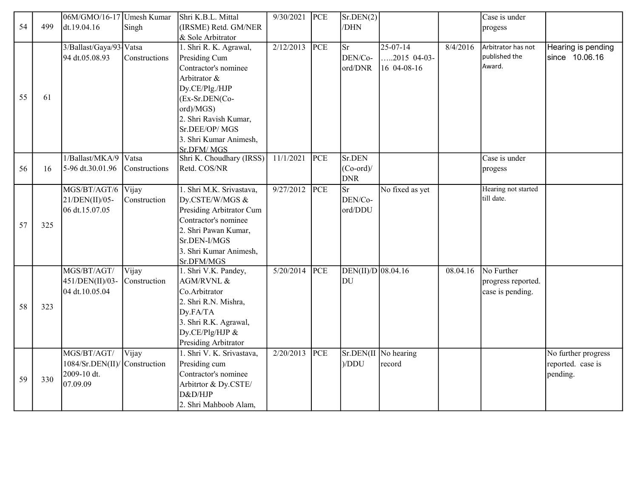|    |     | 06M/GMO/16-17 Umesh Kumar |               | Shri K.B.L. Mittal        | 9/30/2021 | PCE | Sr.DEN(2)            |                         |          | Case is under       |                     |
|----|-----|---------------------------|---------------|---------------------------|-----------|-----|----------------------|-------------------------|----------|---------------------|---------------------|
| 54 | 499 | dt.19.04.16               | Singh         | (IRSME) Retd. GM/NER      |           |     | /DHN                 |                         |          | progess             |                     |
|    |     |                           |               | & Sole Arbitrator         |           |     |                      |                         |          |                     |                     |
|    |     | 3/Ballast/Gaya/93 Vatsa   |               | 1. Shri R. K. Agrawal,    | 2/12/2013 | PCE | Sr                   | $25-07-14$              | 8/4/2016 | Arbitrator has not  | Hearing is pending  |
|    |     | 94 dt.05.08.93            | Constructions | Presiding Cum             |           |     | DEN/Co-              | $.2015$ 04-03-          |          | published the       | since 10.06.16      |
|    |     |                           |               | Contractor's nominee      |           |     | ord/DNR              | 16 04-08-16             |          | Award.              |                     |
|    |     |                           |               | Arbitrator &              |           |     |                      |                         |          |                     |                     |
|    |     |                           |               | Dy.CE/Plg./HJP            |           |     |                      |                         |          |                     |                     |
| 55 | 61  |                           |               | (Ex-Sr.DEN(Co-            |           |     |                      |                         |          |                     |                     |
|    |     |                           |               | ord)/MGS)                 |           |     |                      |                         |          |                     |                     |
|    |     |                           |               | 2. Shri Ravish Kumar,     |           |     |                      |                         |          |                     |                     |
|    |     |                           |               | Sr.DEE/OP/MGS             |           |     |                      |                         |          |                     |                     |
|    |     |                           |               | 3. Shri Kumar Animesh,    |           |     |                      |                         |          |                     |                     |
|    |     |                           |               | Sr.DFM/MGS                |           |     |                      |                         |          |                     |                     |
|    |     | 1/Ballast/MKA/9           | Vatsa         | Shri K. Choudhary (IRSS)  | 11/1/2021 | PCE | Sr.DEN               |                         |          | Case is under       |                     |
| 56 | 16  | 5-96 dt.30.01.96          | Constructions | Retd. COS/NR              |           |     | $(Co-ord)$ /         |                         |          | progess             |                     |
|    |     |                           |               |                           |           |     | <b>DNR</b>           |                         |          |                     |                     |
|    |     | MGS/BT/AGT/6              | <b>Vijay</b>  | 1. Shri M.K. Srivastava,  | 9/27/2012 | PCE | <b>Sr</b>            | No fixed as yet         |          | Hearing not started |                     |
|    |     | $21/DEN(II)/05$ -         | Construction  | Dy.CSTE/W/MGS &           |           |     | DEN/Co-              |                         |          | till date.          |                     |
|    |     | 06 dt.15.07.05            |               | Presiding Arbitrator Cum  |           |     | ord/DDU              |                         |          |                     |                     |
| 57 | 325 |                           |               | Contractor's nominee      |           |     |                      |                         |          |                     |                     |
|    |     |                           |               | 2. Shri Pawan Kumar,      |           |     |                      |                         |          |                     |                     |
|    |     |                           |               | Sr.DEN-I/MGS              |           |     |                      |                         |          |                     |                     |
|    |     |                           |               | 3. Shri Kumar Animesh,    |           |     |                      |                         |          |                     |                     |
|    |     |                           |               | Sr.DFM/MGS                |           |     |                      |                         |          |                     |                     |
|    |     | MGS/BT/AGT/               | Vijay         | 1. Shri V.K. Pandey,      | 5/20/2014 | PCE | $DEN(II)/D$ 08.04.16 |                         | 08.04.16 | No Further          |                     |
|    |     | 451/DEN(II)/03-           | Construction  | AGM/RVNL &                |           |     | DU                   |                         |          | progress reported.  |                     |
|    |     | 04 dt.10.05.04            |               | Co.Arbitrator             |           |     |                      |                         |          | case is pending.    |                     |
| 58 | 323 |                           |               | 2. Shri R.N. Mishra,      |           |     |                      |                         |          |                     |                     |
|    |     |                           |               | Dy.FA/TA                  |           |     |                      |                         |          |                     |                     |
|    |     |                           |               | 3. Shri R.K. Agrawal,     |           |     |                      |                         |          |                     |                     |
|    |     |                           |               | Dy.CE/Plg/HJP &           |           |     |                      |                         |          |                     |                     |
|    |     |                           |               | Presiding Arbitrator      |           |     |                      |                         |          |                     |                     |
|    |     | MGS/BT/AGT/               | Vijay         | 1. Shri V. K. Srivastava, | 2/20/2013 | PCE |                      | $Sr.DEN(II)$ No hearing |          |                     | No further progress |
|    |     | 1084/Sr.DEN(II)           | Construction  | Presiding cum             |           |     | )/DDU                | record                  |          |                     | reported. case is   |
| 59 | 330 | 2009-10 dt.               |               | Contractor's nominee      |           |     |                      |                         |          |                     | pending.            |
|    |     | 07.09.09                  |               | Arbitrtor & Dy.CSTE/      |           |     |                      |                         |          |                     |                     |
|    |     |                           |               | D&D/HJP                   |           |     |                      |                         |          |                     |                     |
|    |     |                           |               | 2. Shri Mahboob Alam,     |           |     |                      |                         |          |                     |                     |